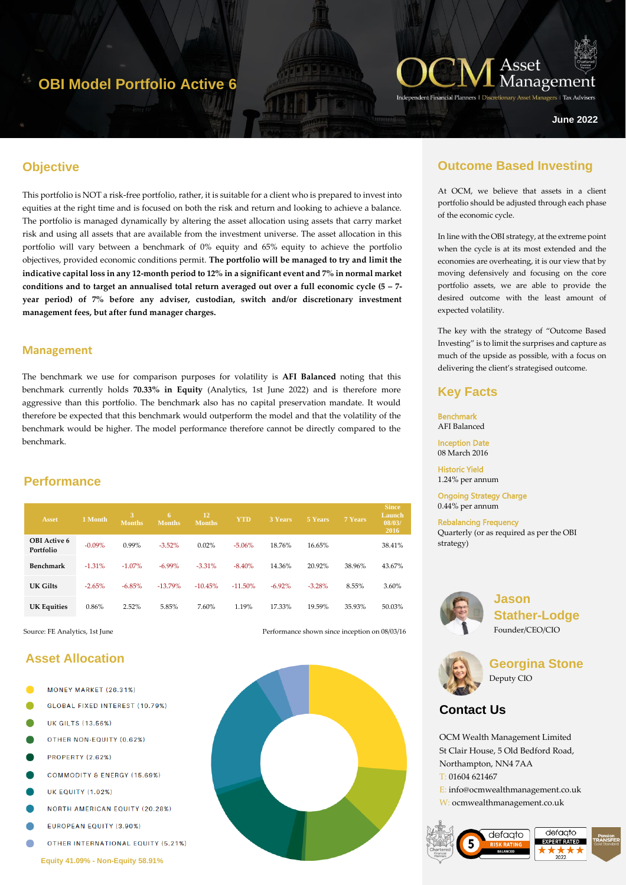# **OBI Model Portfolio Active 6**



ers | Tax Adviser

**June 2022**

## **Objective**

hgyt67 This portfolio is NOT a risk-free portfolio, rather, it is suitable for a client who is prepared to invest into equities at the right time and is focused on both the risk and return and looking to achieve a balance. The portfolio is managed dynamically by altering the asset allocation using assets that carry market risk and using all assets that are available from the investment universe. The asset allocation in this portfolio will vary between a benchmark of 0% equity and 65% equity to achieve the portfolio objectives, provided economic conditions permit. **The portfolio will be managed to try and limit the indicative capital loss in any 12-month period to 12% in a significant event and 7% in normal market conditions and to target an annualised total return averaged out over a full economic cycle (5 – 7 year period) of 7% before any adviser, custodian, switch and/or discretionary investment management fees, but after fund manager charges.**

#### **Management**

The benchmark we use for comparison purposes for volatility is **AFI Balanced** noting that this benchmark currently holds **70.33% in Equity** (Analytics, 1st June 2022) and is therefore more aggressive than this portfolio. The benchmark also has no capital preservation mandate. It would therefore be expected that this benchmark would outperform the model and that the volatility of the benchmark would be higher. The model performance therefore cannot be directly compared to the benchmark.

### **Performance**

| <b>Asset</b>                     | 1 Month  | 3<br><b>Months</b> | 6.<br><b>Months</b> | 12<br><b>Months</b> | <b>YTD</b> | <b>3 Years</b> | 5 Years  | 7 Years | <b>Since</b><br>Launch<br>08/03/<br>2016 |
|----------------------------------|----------|--------------------|---------------------|---------------------|------------|----------------|----------|---------|------------------------------------------|
| <b>OBI</b> Active 6<br>Portfolio | $-0.09%$ | 0.99%              | $-3.52\%$           | 0.02%               | $-5.06%$   | 18.76%         | 16.65%   |         | 38.41%                                   |
| Benchmark                        | $-1.31%$ | $-1.07\%$          | $-6.99\%$           | $-3.31%$            | $-8.40%$   | 14.36%         | 20.92%   | 38.96%  | 43.67%                                   |
| UK Gilts                         | $-2.65%$ | $-6.85%$           | $-13.79%$           | $-10.45%$           | $-11.50\%$ | $-6.92\%$      | $-3.28%$ | 8.55%   | 3.60%                                    |
| <b>UK Equities</b>               | 0.86%    | 2.52%              | 5.85%               | 7.60%               | 1.19%      | 17.33%         | 19.59%   | 35.93%  | 50.03%                                   |

Source: FE Analytics, 1st June Performance shown since inception on 08/03/16

## **Asset Allocation**

- MONEY MARKET (26.31%)
- GLOBAL FIXED INTEREST (10.79%)
- **UK GILTS (13.56%)**
- OTHER NON-EQUITY (0.62%)
- **PROPERTY (2.62%)**
- **COMMODITY & ENERGY (15.69%)**
- **UK EQUITY (1.02%)**
- **NORTH AMERICAN EQUITY (20.28%)**
- EUROPEAN EQUITY (3.90%)
- **OTHER INTERNATIONAL EQUITY (5.21%)**

**Equity 41.09% - Non-Equity 58.91%**



## **Outcome Based Investing**

At OCM, we believe that assets in a client portfolio should be adjusted through each phase of the economic cycle.

In line with the OBI strategy, at the extreme point when the cycle is at its most extended and the economies are overheating, it is our view that by moving defensively and focusing on the core portfolio assets, we are able to provide the desired outcome with the least amount of expected volatility.

The key with the strategy of "Outcome Based Investing" is to limit the surprises and capture as much of the upside as possible, with a focus on delivering the client's strategised outcome.

### **Key Facts**

Benchmark AFI Balanced Inception Date

08 March 2016

Historic Yield 1.24% per annum

Ongoing Strategy Charge 0.44% per annum

Rebalancing Frequency Quarterly (or as required as per the OBI strategy)



**Jason Stather-Lodge** Founder/CEO/CIO



**Georgina Stone** Deputy CIO

## **Contact Us**

OCM Wealth Management Limited St Clair House, 5 Old Bedford Road, Northampton, NN4 7AA T: 01604 621467 E: info@ocmwealthmanagement.co.uk W: ocmwealthmanagement.co.uk